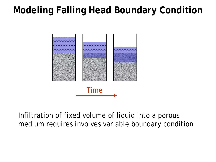## **Modeling Falling Head Boundary Condition**



Infiltration of fixed volume of liquid into a porous medium requires involves variable boundary condition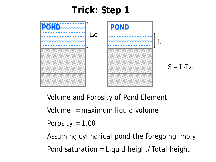## **Trick: Step 1**



Volume and Porosity of Pond Element

Volume = maximum liquid volume

Porosity =  $1.00$ 

Assuming cylindrical pond the foregoing imply Pond saturation = Liquid height/Total height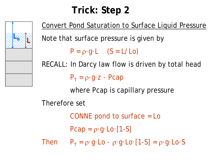## **Trick: Step 2**



Convert Pond Saturation to Surface Liquid Pressure Note that surface pressure is given by  $P = \rho \cdot q \cdot L$  (S = L/Lo) RECALL: In Darcy law flow is driven by total head  $P_T = \rho \cdot g \cdot z$  - Pcap where Pcap is capillary pressure Therefore set CONNE pond to surface = Lo Pcap =  $\rho \cdot g \cdot Lo \cdot [1-S]$ Then  $P_T = \rho \cdot q \cdot L_0 - \rho \cdot q \cdot L_0$  [1-S] =  $\rho \cdot q \cdot L_0$  S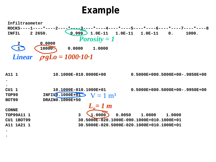## **Example**

**Infiltraometer ROCKS----1----\*----2----\*----3----\*----4----\*----5----\*----6----\*----7----\*----8 INFIL 2 2650. 0.999 1.0E-11 1.0E-11 1.0E-11 0. 1000. 2** 0.0000 **1 10000. 0.0000 1.0000** *Linear*  $\rho g L_0 = 1000 \cdot 10 \cdot 1$ **A11 1 10.1000E-010.0000E+00 0.5000E+000.5000E+00-.9850E+00 . . CU1 1 10.1000E-010.1000E+01 0.5000E+000.5000E+00-.9950E+00** TOP99 **INFIL0.1000E+01 BOT99 DRAIN0.1000E+50 CONNE TOP99A11 1 3 1.0000 0.0050 1.0000 1.0000 CU1 1BOT99 30.5000E-020.1000E-090.1000E+010.1000E+01 A11 1A21 1 30.5000E-020.5000E-020.1000E+010.1000E+01**  $V = 1$  m<sup>3</sup> *Porosity = 1 Lo= 1 m*

**. .**